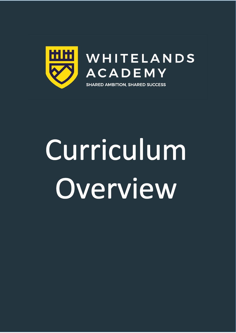

# Curriculum Overview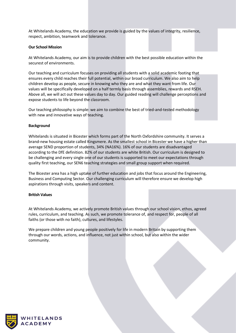At Whitelands Academy, the education we provide is guided by the values of integrity, resilience, respect, ambition, teamwork and tolerance.

## **Our School Mission**

At Whitelands Academy, our aim is to provide children with the best possible education within the securest of environments.

Our teaching and curriculum focuses on providing all students with a solid academic footing that ensures every child reaches their full potential, within our broad curriculum. We also aim to help children develop as people, secure in knowing who they are and what they want from life. Our values will be specifically developed on a half termly basis through assemblies, rewards and RSEH. Above all, we will act out these values day to day. Our guided reading will challenge perceptions and expose students to life beyond the classroom.

Our teaching philosophy is simple: we aim to combine the best of tried-and-tested methodology with new and innovative ways of teaching.

### **Background**

Whitelands is situated in Bicester which forms part of the North Oxfordshire community. It serves a brand-new housing estate called Kingsmere. As the smallest school in Bicester we have a higher than average SEND proportion of students, 34% (NA16%). 16% of our students are disadvantaged according to the DfE definition. 82% of our students are white British. Our curriculum is designed to be challenging and every single one of our students is supported to meet our expectations through quality first teaching, our SEN6 teaching strategies and small group support when required.

The Bicester area has a high uptake of further education and jobs that focus around the Engineering, Business and Computing Sector. Our challenging curriculum will therefore ensure we develop high aspirations through visits, speakers and content.

#### **British Values**

At Whitelands Academy, we actively promote British values through our school vision, ethos, agreed rules, curriculum, and teaching. As such, we promote tolerance of, and respect for, people of all faiths (or those with no faith), cultures, and lifestyles.

We prepare children and young people positively for life in modern Britain by supporting them through our words, actions, and influence, not just within school, but also within the wider community.

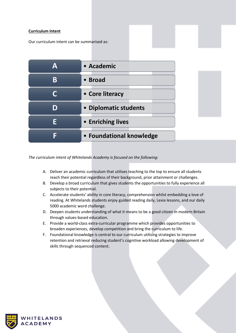# **Curriculum Intent**

Our curriculum intent can be summarised as:

| Δ | • Academic               |
|---|--------------------------|
| B | • Broad                  |
|   | • Core literacy          |
| D | • Diplomatic students    |
|   | • Enriching lives        |
|   | • Foundational knowledge |

*The curriculum intent of Whitelands Academy is focused on the following:*

- A. Deliver an academic curriculum that utilises teaching to the top to ensure all students reach their potential regardless of their background, prior attainment or challenges.
- B. Develop a broad curriculum that gives students the opportunities to fully experience all subjects to their potential.
- C. Accelerate students' ability in core literacy, comprehension whilst embedding a love of reading. At Whitelands students enjoy guided reading daily, Lexia lessons, and our daily 5000 academic word challenge.
- D. Deepen students understanding of what it means to be a good citizen in modern Britain through values-based education.
- E. Provide a world-class extra-curricular programme which provides opportunities to broaden experiences, develop competition and bring the curriculum to life.
- F. Foundational knowledge is central to our curriculum utilising strategies to improve retention and retrieval reducing student's cognitive workload allowing development of skills through sequenced content.

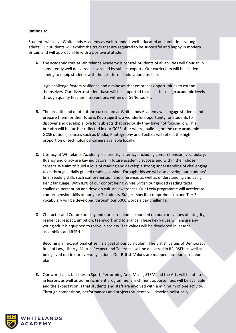## **Rationale:**

Students will leave Whitelands Academy as well-rounded, well-educated and ambitious young adults. Our students will exhibit the traits that are required to be successful and happy in modern Britain and will approach life with a positive attitude.

**A.** The academic core at Whitelands Academy is central. Students of all abilities will flourish in consistently well delivered lessons led by subject experts. Our curriculum will be academic aiming to equip students with the best formal education possible.

High challenge fosters resilience and a mindset that embraces opportunities to extend themselves. Our diverse student base will be supported to reach these high academic levels through quality teacher interventions within our SEN6 toolkit.

- **B.** The breadth and depth of the curriculum at Whitelands Academy will engage students and prepare them for their future. Key Stage 3 is a wonderful opportunity for students to discover and develop a love for subjects that previously they have not focused on. This breadth will be further reflected in our GCSE offer where, building on the core academic GCSE options, courses such as Media, Photography and Textiles will reflect the high proportion of technological careers available locally.
- **C.** Literacy at Whitelands Academy is a priority. Literacy, including comprehension, vocabulary, fluency and oracy are key indicators in future academic success and within their chosen careers. We aim to build a love of reading and develop a strong understanding of challenging texts through a daily guided reading session. Through this we will also develop our students' finer reading skills such comprehension and inference, as well as understanding and using tier 2 language. With 82% of our cohort being White British our guided reading texts challenge perception and develop cultural awareness. Our Lexia programme will accelerate comprehension skills of our year 7 students. Subject specific comprehension and Tier 3 vocabulary will be developed through our 5000 words a day challenge.
- **D.** Character and Culture are key and our curriculum is founded on our core values of integrity, resilience, respect, ambition, teamwork and tolerance. These key values will ensure any young adult is equipped to thrive in society. The values will be developed in lessons, assemblies and RSEH.

Becoming an exceptional citizen is a goal of our curriculum. The British values of Democracy, Rule of Law, Liberty, Mutual Respect and Tolerance will be delivered in RS, RSEH as well as being lived out in our everyday actions. Our British Values are mapped into our curriculum plan.

**E.** Our world class facilities in Sport, Performing Arts, Music, STEM and the Arts will be utilised in lessons as well as our enrichment programme. Enrichment opportunities will be available and the expectation is that students and staff are involved with a minimum of one activity. Through competition, performances and projects students will develop holistically.

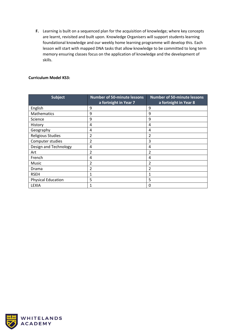**F.** Learning is built on a sequenced plan for the acquisition of knowledge; where key concepts are learnt, revisited and built upon. Knowledge Organisers will support students learning foundational knowledge and our weekly home learning programme will develop this. Each lesson will start with mapped DNA tasks that allow knowledge to be committed to long term memory ensuring classes focus on the application of knowledge and the development of skills.

# **Curriculum Model KS3:**

| <b>Subject</b>            | <b>Number of 50-minute lessons</b><br>a fortnight in Year 7 | <b>Number of 50-minute lessons</b><br>a fortnight in Year 8 |
|---------------------------|-------------------------------------------------------------|-------------------------------------------------------------|
| English                   | 9                                                           | 9                                                           |
| <b>Mathematics</b>        | 9                                                           | 9                                                           |
| Science                   | 9                                                           | 9                                                           |
| History                   | 4                                                           | 4                                                           |
| Geography                 | 4                                                           | 4                                                           |
| <b>Religious Studies</b>  | 2                                                           | $\overline{2}$                                              |
| Computer studies          | 2                                                           | 3                                                           |
| Design and Technology     | 4                                                           | 4                                                           |
| Art                       | $\overline{2}$                                              | $\overline{2}$                                              |
| French                    | 4                                                           | 4                                                           |
| Music                     | $\overline{2}$                                              | $\overline{2}$                                              |
| Drama                     | $\overline{2}$                                              | $\mathfrak{p}$                                              |
| <b>RSEH</b>               | 1                                                           | 1                                                           |
| <b>Physical Education</b> | 5                                                           | 5                                                           |
| <b>LEXIA</b>              | 1                                                           | 0                                                           |

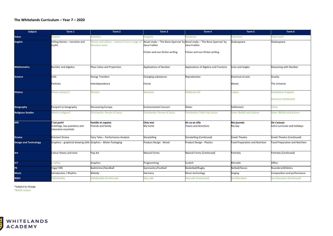#### **The Whitelands Curriculum – Year 7 – 2020**

| Subject                      | Term 1                                                               | Term 2                                                            | Term 3                                           | Term 4                                                                                                                      | Term 5                         | Term 6                                      |
|------------------------------|----------------------------------------------------------------------|-------------------------------------------------------------------|--------------------------------------------------|-----------------------------------------------------------------------------------------------------------------------------|--------------------------------|---------------------------------------------|
| Value                        | Respect                                                              | Ambition                                                          | ntegrity                                         | Resilience                                                                                                                  | <b>Tolerance</b>               | <b>Feam work</b>                            |
| <b>English</b>               | Telling Stories - narrative and<br>myths                             | Heroes and villains - extracts from a range of<br>iterature texts | Zana Fraillon<br>Fiction and non-fiction writing | Novel study - 'The Bone Sparrow' by Novel study - 'The Bone Sparrow' by<br>Zana Fraillon<br>Fiction and non-fiction writing | Shakespeare                    | Shakespeare                                 |
|                              |                                                                      |                                                                   |                                                  |                                                                                                                             |                                |                                             |
| <b>Mathematics</b>           | Number and Algebra                                                   | Place Value and Proportion                                        | <b>Applications of Number</b>                    | Applications of Algebra and Fractions                                                                                       | Lines and Angles               | Reasoning with Number                       |
| <b>Science</b>               | Cells                                                                | <b>Energy Transfers</b>                                           | Changing substances                              | Reproduction                                                                                                                | <b>Electrical circuits</b>     | Gravity                                     |
|                              | Particles                                                            | Interdependence                                                   | Forces                                           |                                                                                                                             | Waves                          | The Universe                                |
| <b>History</b>               | <b>What is History?</b>                                              | Romans                                                            | <b>Normans</b>                                   | <b>Medieval Life</b>                                                                                                        | <b>Tudors</b>                  | Elizabethan England                         |
|                              |                                                                      |                                                                   |                                                  |                                                                                                                             |                                | American Settlement                         |
| Geography                    | Passport to Geography                                                | <b>Discovering Europe</b>                                         | <b>Environmental Concern</b>                     | Water                                                                                                                       | Settlement                     | China                                       |
| <b>Religious Studies</b>     | What is religion?                                                    | Christianity: Person of Jesus                                     | Christianity: Person of Jesus                    | Christianity: Faith into action                                                                                             | slam: Beliefs and actions      | slam: Beliefs and actions                   |
| <b>MfL</b>                   | C'est parti!<br>Greetings, key questions and<br>classroom essentials | <b>Famille et copains</b><br>Friends and family                   | Chez moi<br>My home                              | On va en ville<br>Towns and directions                                                                                      | Ma journée<br>My day           | On s'amuse<br>Extra-curricular and holidays |
| <b>Drama</b>                 | Kickstart Drama                                                      | Fairy Tales - Performance Analysis                                | Storytelling                                     | Storytelling (Continued)                                                                                                    | <b>Greek Theatre</b>           | Greek Theatre (Continued)                   |
| <b>Design and Technology</b> | Graphics - graphical drawing skills Graphics - Blister Packaging     |                                                                   | Product Design - Wood                            | Product Design - Plastics                                                                                                   | Food Preparation and Nutrition | Food Preparation and Nutrition              |
| Art                          | Colour theory and tone                                               | Pop Art                                                           | Natural Forms                                    | Natural Forms (Continued)                                                                                                   | Portraits                      | Portraits (Continued)                       |
| <b>ICT</b>                   | E-Safety                                                             | Graphics                                                          | Programming                                      | Scratch                                                                                                                     | Microbit                       | Office                                      |
| PE                           | Yoga/HRE                                                             | Badminton/Handball                                                | Gymnastics/Football                              | Basketball/Rugby                                                                                                            | Netball/Dance                  | Rounders/Athletics                          |
| <b>Music</b>                 | ntroduction / Rhythm                                                 | Melody                                                            | Harmony                                          | Music technology                                                                                                            | Singing                        | Composition and performance                 |
| <b>RSEH</b>                  | ndividuality                                                         | <b>Individuality (Continued)</b>                                  | Stay safe                                        | <b>Stay safe (Continued)</b>                                                                                                | Sex Education                  | <b>Sex Education (Continued)</b>            |

\*Subject to change \*British values

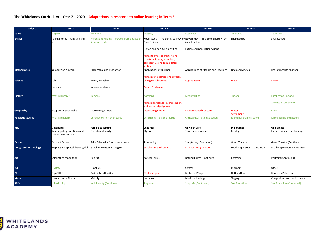# **The Whitelands Curriculum – Year 7 – 2020 – Adaptations in response to online learning in Term 3.**

| Subject                      | Term 1                                                               | Term 2                                                            | Term 3                                                                                                    | Term 4                                 | Term 5                         | Term 6                                      |
|------------------------------|----------------------------------------------------------------------|-------------------------------------------------------------------|-----------------------------------------------------------------------------------------------------------|----------------------------------------|--------------------------------|---------------------------------------------|
| Value                        | Respect                                                              | <i><b>Imbition</b></i>                                            | ntegrity                                                                                                  | Resilience                             | olerance                       | <b>Feam work</b>                            |
| <b>English</b>               | Telling Stories - narrative and<br>myths                             | Heroes and villains - extracts from a range of<br>iterature texts | Novel study - 'The Bone Sparrow' by Novel study - 'The Bone Sparrow' by<br>Zana Fraillon                  | Zana Fraillon                          | Shakespeare                    | Shakespeare                                 |
|                              |                                                                      |                                                                   | Fiction and non-fiction writing                                                                           | Fiction and non-fiction writing        |                                |                                             |
|                              |                                                                      |                                                                   | Minus themes, characters and<br>tructure. Minus, analytical,<br>comparative and formal letter<br>vriting. |                                        |                                |                                             |
| <b>Mathematics</b>           | Number and Algebra                                                   | Place Value and Proportion                                        | <b>Applications of Number</b>                                                                             | Applications of Algebra and Fractions  | Lines and Angles               | Reasoning with Number                       |
| <b>Science</b>               | Cells                                                                | <b>Inergy Transfers</b>                                           | Minus multiplication and division<br>Changing substances                                                  | Reproduction                           | <b>Naves</b>                   | <b>Forces</b>                               |
|                              | Particles                                                            | Interdependence                                                   | Gravity/Universe                                                                                          |                                        |                                |                                             |
| <b>History</b>               | What is History?                                                     | Romans                                                            | <b>Normans</b>                                                                                            | Medieval Life                          | <b>Tudors</b>                  | Elizabethan England                         |
|                              |                                                                      |                                                                   | Minus significance, interpretations<br>and historical judgement.                                          |                                        |                                | American Settlement                         |
| Geography                    | Passport to Geography                                                | Discovering Europe                                                | <b>Iscovering Europe</b>                                                                                  | <b>Environmental Concern</b>           | Water<br>ettlement             | China                                       |
| <b>Religious Studies</b>     | What is religion?                                                    | Christianity: Person of Jesus                                     | Christianity: Person of Jesus                                                                             | Christianity: Faith into action        | slam: Beliefs and actions      | slam: Beliefs and actions                   |
| <b>MfL</b>                   | C'est parti!<br>Greetings, key questions and<br>classroom essentials | <b>Famille et copains</b><br>Friends and family                   | Chez moi<br>My home                                                                                       | On va en ville<br>Towns and directions | Ma journée<br>My day           | On s'amuse<br>Extra-curricular and holidays |
| <b>Drama</b>                 | Kickstart Drama                                                      | Fairy Tales - Performance Analysis                                | Storytelling                                                                                              | Storytelling (Continued)               | <b>Greek Theatre</b>           | Greek Theatre (Continued)                   |
| <b>Design and Technology</b> | Graphics - graphical drawing skills Graphics - Blister Packaging     |                                                                   | Graphics related project.                                                                                 | Product Design - Wood                  | Food Preparation and Nutrition | Food Preparation and Nutrition              |
| Art                          | Colour theory and tone                                               | Pop Art                                                           | Natural Forms                                                                                             | Natural Forms (Continued)              | Portraits                      | Portraits (Continued)                       |
| <b>ICT</b>                   | E-Safety                                                             | Graphics                                                          |                                                                                                           | Scratch                                | Microbit                       | Office                                      |
| PE                           | oga/HRE                                                              | Badminton/Handball                                                | PE challenges                                                                                             | Basketball/Rugby                       | Netball/Dance                  | Rounders/Athletics                          |
| <b>Music</b>                 | Introduction / Rhythm                                                | Melody                                                            | Harmony                                                                                                   | Music technology                       | Singing                        | Composition and performance                 |
| <b>RSEH</b>                  | ndividuality                                                         | ndividuality (Continued)                                          | itay safe                                                                                                 | Stay safe (Continued)                  | Sex Education                  | Sex Education (Continued)                   |

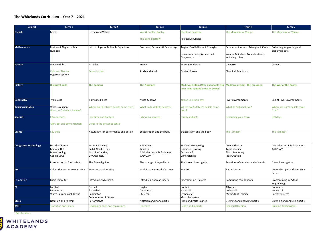#### **The Whitelands Curriculum – Year 7 – 2021**

| <b>Subject</b>               | Term 1                             | Term 2                                  | Term 3                            | Term 4                                       | Term 5                                  | Term 6                           |
|------------------------------|------------------------------------|-----------------------------------------|-----------------------------------|----------------------------------------------|-----------------------------------------|----------------------------------|
| <b>English</b>               | Myths                              | Heroes and Villains                     | <b>Nar &amp; Conflict Poetry</b>  | The Bone Sparrow                             | he Merchant of Venice                   | he Merchant of Venice            |
|                              |                                    |                                         |                                   |                                              |                                         |                                  |
|                              |                                    |                                         | The Bone Sparrow                  | Persuasive writing                           |                                         |                                  |
|                              |                                    |                                         |                                   |                                              |                                         |                                  |
| <b>Mathematics</b>           | Positive & Negative Real           | Intro to Algebra & Simple Equations     | Fractions, Decimals & Percentages | Angles, Parallel Lines & Triangles           | Perimeter & Area of Triangles & Circles | Collecting, organising and       |
|                              | <b>Numbers</b>                     |                                         |                                   |                                              |                                         | displaying data                  |
|                              |                                    |                                         |                                   | Transformations, Symmetry &                  | Volume & Surface Area of cuboids,       |                                  |
|                              |                                    |                                         |                                   | Congruence.                                  | including cubes.                        |                                  |
| Science                      | Science skills                     | Particles                               | Energy                            | Interdependence                              | Universe                                | Waves                            |
|                              |                                    |                                         |                                   |                                              |                                         |                                  |
|                              | <b>Cells and Tissues</b>           | Reproduction                            | Acids and Alkali                  | <b>Contact forces</b>                        | <b>Chemical Reactions</b>               |                                  |
|                              | Digestive system                   |                                         |                                   |                                              |                                         |                                  |
|                              |                                    |                                         |                                   |                                              |                                         |                                  |
| <b>History</b>               | <b>Historical skills</b>           | <b>The Romans</b>                       | The Normans                       | <b>Medieval Britain (Why did people risk</b> | <b>Medieval period - The Crusades.</b>  | The War of the Roses             |
|                              |                                    |                                         |                                   | their lives fighting those in power?         |                                         |                                  |
|                              |                                    |                                         |                                   |                                              |                                         |                                  |
|                              |                                    |                                         |                                   |                                              |                                         |                                  |
| Geography                    | Map Skills                         | <b>Fantastic Places</b>                 | Africa & Kenya                    | <b>Urban Environments</b>                    | <b>River Environments</b>               | End of River Environments        |
|                              |                                    |                                         |                                   |                                              |                                         |                                  |
| <b>Religious Studies</b>     | What is religion?                  | Where do Christian's beliefs come from? | <b>What do Buddhists believe?</b> | Where do Buddhist's beliefs come             | <b>Nhat do Sikhs believe?</b>           | Where do Sikh's beliefs come     |
|                              | <b>Nhat do Christians believe?</b> |                                         |                                   | from?                                        |                                         | from?                            |
| <b>Spanish</b>               | ntroductions                       | Free time and hobbies                   | School equipment                  | <b>Family and pets</b>                       | Describing your town                    | Holidays                         |
|                              |                                    |                                         |                                   |                                              |                                         |                                  |
|                              | Alphabet and pronunciation         | Verbs in the presence tense             |                                   |                                              |                                         |                                  |
|                              |                                    |                                         |                                   |                                              |                                         |                                  |
| Drama                        | Key skills                         | Naturalism for performance and design   | Exaggeration and the body         | Exaggeration and the body                    | The Tempest                             | he Tempest                       |
|                              |                                    |                                         |                                   |                                              |                                         |                                  |
|                              |                                    |                                         |                                   |                                              |                                         |                                  |
| <b>Design and Technology</b> | Health & Safety                    | <b>Manual Sanding</b>                   | Adhesives                         | <b>Perspective Drawing</b>                   | Colour Theory                           | Critical Analysis & Evaluation   |
|                              | Marking Out                        | Full & Needle Files                     | Finishes                          | <b>Isometric Drawing</b>                     | <b>Tonal Shading</b>                    | CAD/CAM                          |
|                              | Dimensioning                       | <b>Machine Sanding</b>                  | Critical Analysis & Evaluation    | Accuracy &                                   | <b>Block Rendering</b>                  |                                  |
|                              | Coping Saws                        | Dry Assembly                            | CAD/CAM                           | Dimensioning                                 | <b>Idea Creation</b>                    |                                  |
|                              | Introduction to food safety        | The Eatwell guide                       | The storage of ingredients        | Shortbread investigation                     | Functions of vitamins and minerals      | Cakes investigation              |
|                              |                                    |                                         |                                   |                                              |                                         |                                  |
| Art                          | Colour theory and colour mixing    | Tone and mark making                    | Walk in someone else's shoes      | Pop Art                                      | Natural Forms                           | Cultural Project - African Style |
|                              |                                    |                                         |                                   |                                              |                                         | Patterns                         |
|                              |                                    |                                         |                                   |                                              |                                         |                                  |
| Computing                    | <b>Basic computer</b>              | <b>Introducing Microsoft</b>            | ntroducing Spreadsheets           | Programming - Scratch                        | Computing components                    | Programming in Python -          |
|                              |                                    |                                         |                                   |                                              |                                         | Sequencing                       |
| PE                           | Football<br><b>Badminton</b>       | Netball<br>Basketball                   | Rugby<br>Gymnastics               | Hockey<br>Handball                           | Athletics<br>Volleyball                 | Rounders<br>Volleyball           |
|                              | Warm ups and cool downs            | Badminton                               | Skeleton                          | Gymnastics                                   | <b>Methods of Training</b>              | Energy systems                   |
|                              |                                    | Components of fitness                   |                                   | Muscular system                              |                                         |                                  |
| <b>Music</b>                 | Notation and Rhythm                | Performance                             | Notation and Piano part 1         | Piano and Performance                        | Listening and analysing part 1          | Listening and analysing part 2   |
| <b>RSEH</b>                  | ransition and Safety               | Developing skills and aspirations       | <b>Diversity</b>                  | <b>Health and puberty</b>                    | <b>Financial Decision</b>               | <b>Building Relationships</b>    |
|                              |                                    |                                         |                                   |                                              |                                         |                                  |
|                              |                                    |                                         |                                   |                                              |                                         |                                  |

\*British values

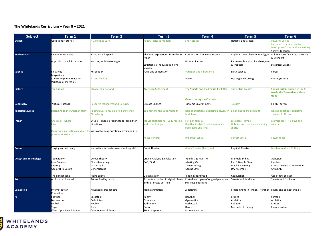#### **The Whitelands Curriculum – Year 8 – 2021**

| <b>Subject</b>               | Term 1                                                                             | Term 2                                                                                                                                    | Term <sub>3</sub>                                                   | Term 4                                                                                  | Term 5                                                                   | Term 6                                                                                                    |
|------------------------------|------------------------------------------------------------------------------------|-------------------------------------------------------------------------------------------------------------------------------------------|---------------------------------------------------------------------|-----------------------------------------------------------------------------------------|--------------------------------------------------------------------------|-----------------------------------------------------------------------------------------------------------|
| <b>English</b>               | <b>Gothic Short Stories</b>                                                        | <b>Christmas Carol</b>                                                                                                                    | oetry (epics to modern)                                             | Short stories                                                                           | <b>Noughts and Crosses</b>                                               | Powerful voices<br>(speeches, rhetoric, poetry)<br>Descriptive & transactional writing<br>Spoken Language |
| <b>Mathematics</b>           | Factors & Multiples                                                                | Ratio, Rate & Speed                                                                                                                       | Algebraic expressions, formulae &<br>Proof                          | Coordinates & Linear Functions                                                          | Angles in quadrilaterals & Polygons Volume & Surface Area of Prisms      | & Cylinders                                                                                               |
|                              | Approximation & Estimation                                                         | Working with Percentages                                                                                                                  | Equations & Inequalities in one<br>variable                         | <b>Number Patterns</b>                                                                  | Perimeter & area of Parallelograms<br>& Trapezia                         | <b>Statistical Graphs</b>                                                                                 |
| <b>Science</b>               | Electricity<br>Magnetism<br>Chemistry (metal reactions,<br>structure of materials) | Respiration<br>Fit and healthy                                                                                                            | uels and combustion                                                 | ariation and Inheritance<br>Waves                                                       | Earth Science<br><b>Heating and Cooling</b>                              | Forces<br>Photosynthesis                                                                                  |
| <b>History</b>               | <b>The Tudors</b>                                                                  | <b>Elizabethan England</b>                                                                                                                | <b>American Settlement</b>                                          | The Stuarts and the English Civil War<br><b>Oxford during the Civil War.</b>            | <b>The British Empire</b>                                                | <b>Should Britain apologise for its</b><br>role in the Transatlantic slave<br>trade?                      |
| Geography                    | Natural Hazards                                                                    | <b>Resource Management &amp; Security</b>                                                                                                 | Climate Change                                                      | <b>Extreme Environments</b>                                                             | <b>ourism</b>                                                            | <b>Finish Tourism</b>                                                                                     |
| <b>Religious Studies</b>     | Belonging to the Christian faith                                                   | Raising questions, exploring answers in<br>Christianity                                                                                   | Belonging to the Buddhist faith                                     | Raising questions, exploring answers in<br><b>Buddhism</b>                              | <b>Belonging to the Sikh faith</b>                                       | Raising questions, exploring<br>answers in Sikhism                                                        |
| <b>French</b>                | Chez moi – where<br>live                                                           | En ville - shops, ordering food, asking for<br>directions<br>Classroom instructions and regular Ways of forming questions; avoir and être | Ma vie quotidienne - Daily routine<br>and school subjects           | s-tu en forme?<br>Healthy lifestyle (food, exercise etc),<br>body parts and illness     | Les passe - temps<br>Hobbies and free time, including<br>sports          | Les vacances - Holidays and<br>weather                                                                    |
|                              | present tense verbs                                                                |                                                                                                                                           | Reflexive verbs                                                     | mperfect tense                                                                          | Perfect tense                                                            | <b>Future tense</b>                                                                                       |
| <b>Drama</b>                 | Staging and set design                                                             | Naturalism for performance and key skills                                                                                                 | <b>Greek Theatre</b>                                                | Greek Theatre (Antigone)                                                                | Physical Theatre                                                         | Much Ado About Nothing                                                                                    |
| <b>Design and Technology</b> | Typography<br><b>Idea Creation</b><br><b>Drafting</b><br>Use of IT in Design       | Colour Theory<br><b>Block Rendering</b><br>Accuracy &<br>Dimensioning                                                                     | Critical Analysis & Evaluation<br>CAD/CAM<br>Gelatinisation         | Health & Safety ITW<br>Marking Out<br>Dimensioning<br>Coping Saws                       | Manual Sanding<br>Full & Needle Files<br>Machine Sanding<br>Dry Assembly | Adhesives<br><b>Finishes</b><br>Critical Analysis & Evaluation<br>CAD/CAM<br>Use of raw chicken           |
| Art                          | The danger zone<br>Art inspired by music                                           | Rising agents<br>Art inspired by music                                                                                                    | Portraits - copies of original pieces<br>and self-image portraits   | Binding shortbread<br>Portraits - copies of original pieces and<br>self-image portraits | Coagulation<br>Sweets and food in Art                                    | Sweets and food in Art                                                                                    |
| Computing                    | nternet safety<br>Photoshop                                                        | Advanced spreadsheets                                                                                                                     | Media animation                                                     | Algorithms                                                                              | Programming in Python - Iteration Binary and computer logic              |                                                                                                           |
| PE.                          | Football<br>Badminton<br>Netball<br>Yoga<br>Warm up and cool downs                 | Basketball<br>Badminton<br>Hockey<br>Yoga<br>Components of fitness                                                                        | Rugby<br>Gymnastics<br><b>Badminton</b><br>Dance<br>Skeletal system | Handball<br>Gymnastics<br><b>Basketball</b><br>Dance<br>Muscular system                 | Cricket<br>Athletics<br>Rounders<br>Methods of training                  | Softball<br><b>Athletics</b><br>Cricket<br><b>Energy systems</b>                                          |